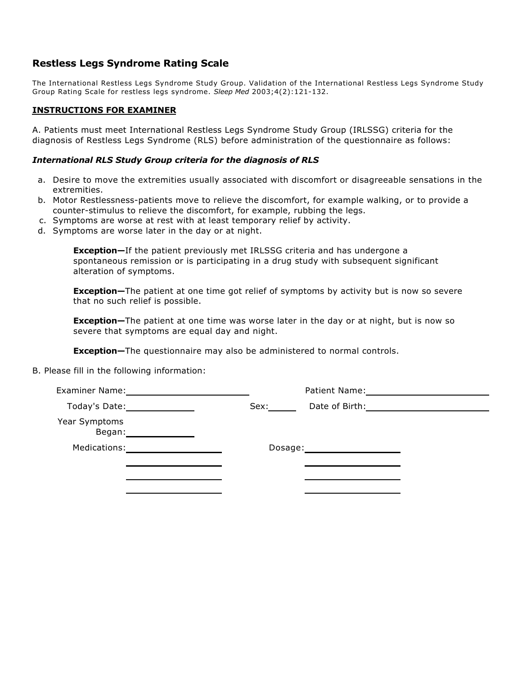## **Restless Legs Syndrome Rating Scale**

The International Restless Legs Syndrome Study Group. Validation of the International Restless Legs Syndrome Study Group Rating Scale for restless legs syndrome. *Sleep Med* 2003;4(2):121-132.

#### **INSTRUCTIONS FOR EXAMINER**

A. Patients must meet International Restless Legs Syndrome Study Group (IRLSSG) criteria for the diagnosis of Restless Legs Syndrome (RLS) before administration of the questionnaire as follows:

#### *International RLS Study Group criteria for the diagnosis of RLS*

- a. Desire to move the extremities usually associated with discomfort or disagreeable sensations in the extremities.
- b. Motor Restlessness-patients move to relieve the discomfort, for example walking, or to provide a counter-stimulus to relieve the discomfort, for example, rubbing the legs.
- c. Symptoms are worse at rest with at least temporary relief by activity.
- d. Symptoms are worse later in the day or at night.

**Exception—**If the patient previously met IRLSSG criteria and has undergone a spontaneous remission or is participating in a drug study with subsequent significant alteration of symptoms.

**Exception—**The patient at one time got relief of symptoms by activity but is now so severe that no such relief is possible.

**Exception—**The patient at one time was worse later in the day or at night, but is now so severe that symptoms are equal day and night.

**Exception—**The questionnaire may also be administered to normal controls.

B. Please fill in the following information:

| <b>Examiner Name:</b>   | Patient Name:          |
|-------------------------|------------------------|
| Today's Date:           | Date of Birth:<br>Sex: |
| Year Symptoms<br>Began: |                        |
| Medications:            | Dosage:                |
|                         |                        |
|                         |                        |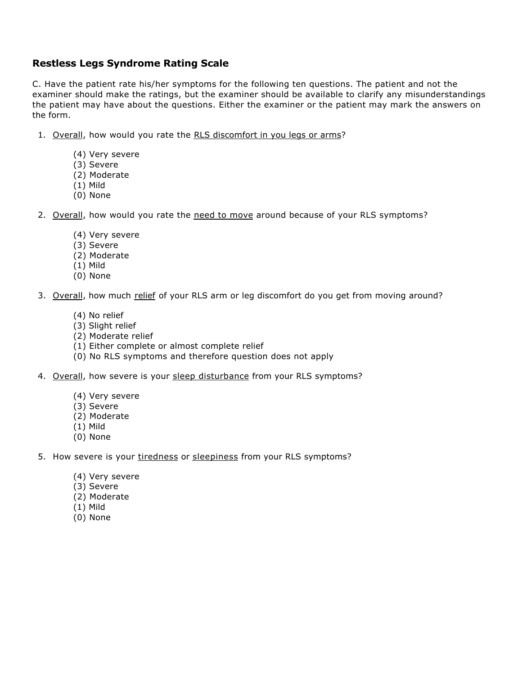## **Restless Legs Syndrome Rating Scale**

C. Have the patient rate his/her symptoms for the following ten questions. The patient and not the examiner should make the ratings, but the examiner should be available to clarify any misunderstandings the patient may have about the questions. Either the examiner or the patient may mark the answers on the form.

- 1. Overall, how would you rate the RLS discomfort in you legs or arms?
	- (4) Very severe
	- (3) Severe
	- (2) Moderate
	- (1) Mild
	- (0) None
- 2. Overall, how would you rate the need to move around because of your RLS symptoms?
	- (4) Very severe
	- (3) Severe
	- (2) Moderate
	- (1) Mild
	- (0) None
- 3. Overall, how much relief of your RLS arm or leg discomfort do you get from moving around?
	- (4) No relief
	- (3) Slight relief
	- (2) Moderate relief
	- (1) Either complete or almost complete relief
	- (0) No RLS symptoms and therefore question does not apply
- 4. Overall, how severe is your sleep disturbance from your RLS symptoms?
	- (4) Very severe
	- (3) Severe
	- (2) Moderate
	- (1) Mild
	- (0) None
- 5. How severe is your tiredness or sleepiness from your RLS symptoms?
	- (4) Very severe
	- (3) Severe
	- (2) Moderate
	- (1) Mild
	- (0) None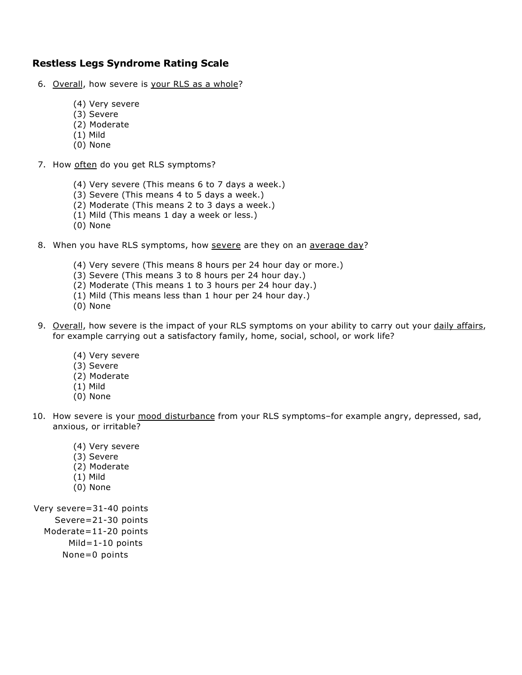## **Restless Legs Syndrome Rating Scale**

- 6. Overall, how severe is your RLS as a whole?
	- (4) Very severe
	- (3) Severe
	- (2) Moderate
	- (1) Mild
	- (0) None
- 7. How often do you get RLS symptoms?
	- (4) Very severe (This means 6 to 7 days a week.)
	- (3) Severe (This means 4 to 5 days a week.)
	- (2) Moderate (This means 2 to 3 days a week.)
	- (1) Mild (This means 1 day a week or less.)
	- (0) None
- 8. When you have RLS symptoms, how severe are they on an average day?
	- (4) Very severe (This means 8 hours per 24 hour day or more.)
	- (3) Severe (This means 3 to 8 hours per 24 hour day.)
	- (2) Moderate (This means 1 to 3 hours per 24 hour day.)
	- (1) Mild (This means less than 1 hour per 24 hour day.)
	- (0) None
- 9. Overall, how severe is the impact of your RLS symptoms on your ability to carry out your daily affairs, for example carrying out a satisfactory family, home, social, school, or work life?
	- (4) Very severe
	- (3) Severe
	- (2) Moderate
	- (1) Mild
	- (0) None
- 10. How severe is your mood disturbance from your RLS symptoms-for example angry, depressed, sad, anxious, or irritable?
	- (4) Very severe
	- (3) Severe
	- (2) Moderate
	- (1) Mild
	- (0) None

Very severe=31-40 points

- Severe=21-30 points
- Moderate=11-20 points
	- Mild=1-10 points
	- None=0 points